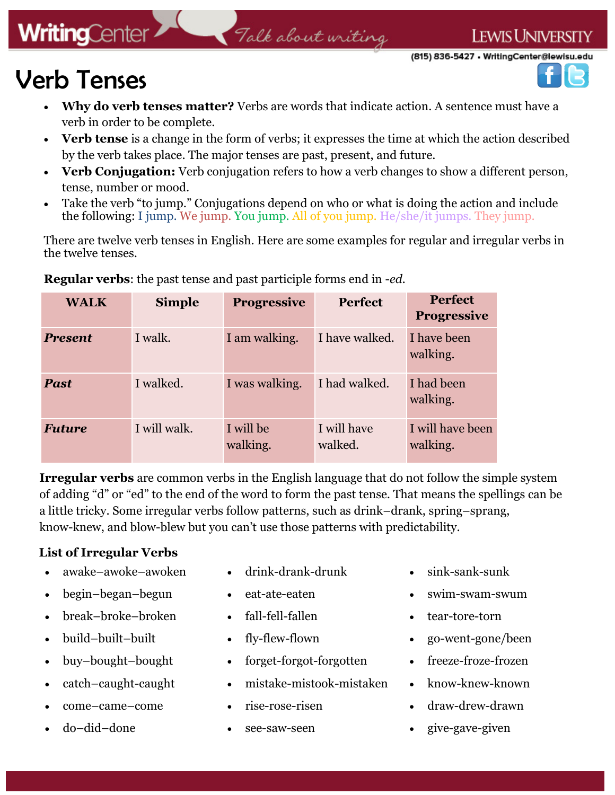# **WritingCenter**

#### Talk about writing

(815) 836-5427 • WritingCenter@lewisu.edu

**LEWIS UNIVERSITY** 



# Verb Tenses

- **Why do verb tenses matter?** Verbs are words that indicate action. A sentence must have a verb in order to be complete.
- Verb tense is a change in the form of verbs; it expresses the time at which the action described by the verb takes place. The major tenses are past, present, and future.
- **Verb Conjugation:** Verb conjugation refers to how a verb changes to show a different person, tense, number or mood.
- Take the verb "to jump." Conjugations depend on who or what is doing the action and include the following: I jump. We jump. You jump. All of you jump. He/she/it jumps. They jump.

There are twelve verb tenses in English. Here are some examples for regular and irregular verbs in the twelve tenses.

| <b>WALK</b>    | <b>Simple</b> | <b>Progressive</b>    | <b>Perfect</b>         | <b>Perfect</b><br><b>Progressive</b> |
|----------------|---------------|-----------------------|------------------------|--------------------------------------|
| <b>Present</b> | I walk.       | I am walking.         | I have walked.         | I have been<br>walking.              |
| <b>Past</b>    | I walked.     | I was walking.        | I had walked.          | I had been<br>walking.               |
| <b>Future</b>  | I will walk.  | I will be<br>walking. | I will have<br>walked. | I will have been<br>walking.         |

**Regular verbs**: the past tense and past participle forms end in -*ed.*

**Irregular verbs** are common verbs in the English language that do not follow the simple system of adding "d" or "ed" to the end of the word to form the past tense. That means the spellings can be a little tricky. Some irregular verbs follow patterns, such as drink–drank, spring–sprang, know-knew, and blow-blew but you can't use those patterns with predictability.

#### **List of Irregular Verbs**

- awake–awoke–awoken
- begin–began–begun
- break–broke–broken
- build–built–built
- buy–bought–bought
- catch–caught-caught
- come–came–come
- do–did–done
- drink-drank-drunk
- eat-ate-eaten
- fall-fell-fallen
- fly-flew-flown
- forget-forgot-forgotten
- mistake-mistook-mistaken
- rise-rose-risen
- see-saw-seen
- sink-sank-sunk
- swim-swam-swum
- tear-tore-torn
- go-went-gone/been
- freeze-froze-frozen
- know-knew-known
- draw-drew-drawn
- give-gave-given